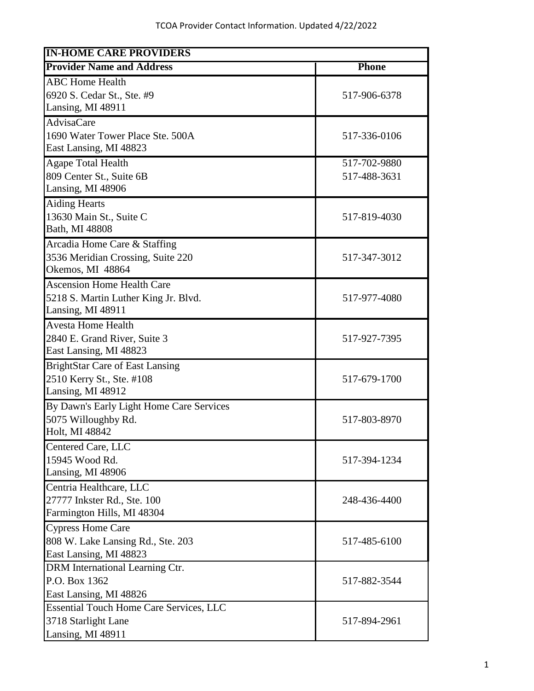| <b>IN-HOME CARE PROVIDERS</b>                  |              |
|------------------------------------------------|--------------|
| <b>Provider Name and Address</b>               | <b>Phone</b> |
| <b>ABC</b> Home Health                         |              |
| 6920 S. Cedar St., Ste. #9                     | 517-906-6378 |
| Lansing, MI 48911                              |              |
| <b>AdvisaCare</b>                              |              |
| 1690 Water Tower Place Ste. 500A               | 517-336-0106 |
| East Lansing, MI 48823                         |              |
| <b>Agape Total Health</b>                      | 517-702-9880 |
| 809 Center St., Suite 6B                       | 517-488-3631 |
| Lansing, MI 48906                              |              |
| <b>Aiding Hearts</b>                           |              |
| 13630 Main St., Suite C                        | 517-819-4030 |
| Bath, MI 48808                                 |              |
| Arcadia Home Care & Staffing                   |              |
| 3536 Meridian Crossing, Suite 220              | 517-347-3012 |
| Okemos, MI 48864                               |              |
| <b>Ascension Home Health Care</b>              |              |
| 5218 S. Martin Luther King Jr. Blvd.           | 517-977-4080 |
| Lansing, MI 48911                              |              |
| <b>Avesta Home Health</b>                      |              |
| 2840 E. Grand River, Suite 3                   | 517-927-7395 |
| East Lansing, MI 48823                         |              |
| <b>BrightStar Care of East Lansing</b>         |              |
| 2510 Kerry St., Ste. #108                      | 517-679-1700 |
| Lansing, MI 48912                              |              |
| By Dawn's Early Light Home Care Services       |              |
| 5075 Willoughby Rd.                            | 517-803-8970 |
| Holt, MI 48842                                 |              |
| Centered Care, LLC                             |              |
| 15945 Wood Rd.                                 | 517-394-1234 |
| Lansing, MI 48906                              |              |
| Centria Healthcare, LLC                        |              |
| 27777 Inkster Rd., Ste. 100                    | 248-436-4400 |
| Farmington Hills, MI 48304                     |              |
| <b>Cypress Home Care</b>                       |              |
| 808 W. Lake Lansing Rd., Ste. 203              | 517-485-6100 |
| East Lansing, MI 48823                         |              |
| DRM International Learning Ctr.                |              |
| P.O. Box 1362                                  | 517-882-3544 |
| East Lansing, MI 48826                         |              |
| <b>Essential Touch Home Care Services, LLC</b> |              |
| 3718 Starlight Lane                            | 517-894-2961 |
| Lansing, MI 48911                              |              |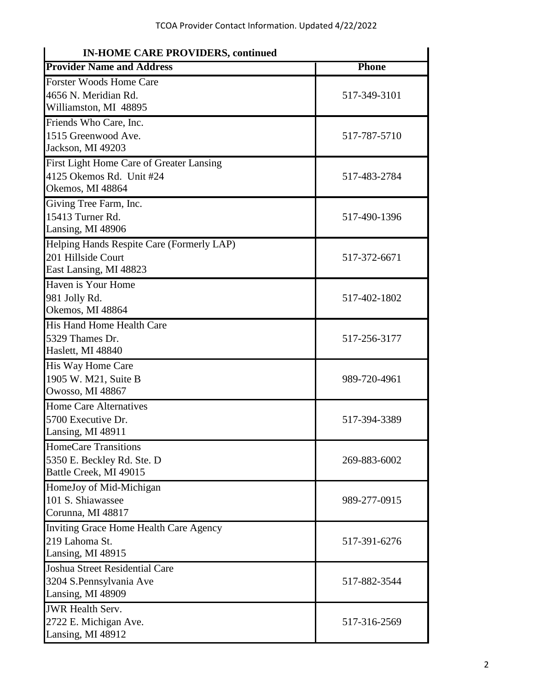| <b>IN-HOME CARE PROVIDERS, continued</b>  |              |
|-------------------------------------------|--------------|
| <b>Provider Name and Address</b>          | <b>Phone</b> |
| <b>Forster Woods Home Care</b>            |              |
| 4656 N. Meridian Rd.                      | 517-349-3101 |
| Williamston, MI 48895                     |              |
| Friends Who Care, Inc.                    |              |
| 1515 Greenwood Ave.                       | 517-787-5710 |
| Jackson, MI 49203                         |              |
| First Light Home Care of Greater Lansing  |              |
| 4125 Okemos Rd. Unit #24                  | 517-483-2784 |
| Okemos, MI 48864                          |              |
| Giving Tree Farm, Inc.                    |              |
| 15413 Turner Rd.                          | 517-490-1396 |
| Lansing, MI 48906                         |              |
| Helping Hands Respite Care (Formerly LAP) |              |
| 201 Hillside Court                        | 517-372-6671 |
| East Lansing, MI 48823                    |              |
| Haven is Your Home                        |              |
| 981 Jolly Rd.                             | 517-402-1802 |
| Okemos, MI 48864                          |              |
| <b>His Hand Home Health Care</b>          |              |
| 5329 Thames Dr.                           | 517-256-3177 |
| Haslett, MI 48840                         |              |
| His Way Home Care                         |              |
| 1905 W. M21, Suite B                      | 989-720-4961 |
| Owosso, MI 48867                          |              |
| <b>Home Care Alternatives</b>             |              |
| 5700 Executive Dr.                        | 517-394-3389 |
| Lansing, MI 48911                         |              |
| <b>HomeCare Transitions</b>               |              |
| 5350 E. Beckley Rd. Ste. D                | 269-883-6002 |
| Battle Creek, MI 49015                    |              |
| HomeJoy of Mid-Michigan                   |              |
| 101 S. Shiawassee                         | 989-277-0915 |
| Corunna, MI 48817                         |              |
| Inviting Grace Home Health Care Agency    |              |
| 219 Lahoma St.                            | 517-391-6276 |
| Lansing, MI 48915                         |              |
| <b>Joshua Street Residential Care</b>     |              |
| 3204 S.Pennsylvania Ave                   | 517-882-3544 |
| Lansing, MI 48909                         |              |
| <b>JWR</b> Health Serv.                   |              |
| 2722 E. Michigan Ave.                     | 517-316-2569 |
| Lansing, MI 48912                         |              |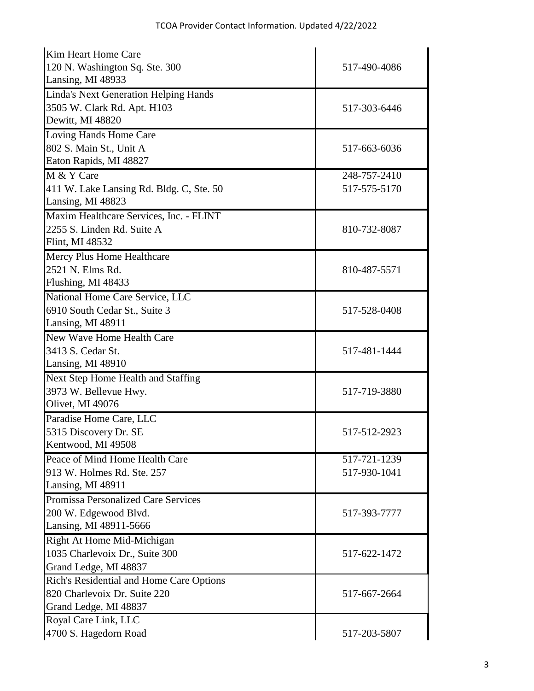| Kim Heart Home Care                      |              |
|------------------------------------------|--------------|
| 120 N. Washington Sq. Ste. 300           | 517-490-4086 |
| Lansing, MI 48933                        |              |
| Linda's Next Generation Helping Hands    |              |
| 3505 W. Clark Rd. Apt. H103              | 517-303-6446 |
| Dewitt, MI 48820                         |              |
| Loving Hands Home Care                   |              |
| 802 S. Main St., Unit A                  | 517-663-6036 |
| Eaton Rapids, MI 48827                   |              |
| M & Y Care                               | 248-757-2410 |
| 411 W. Lake Lansing Rd. Bldg. C, Ste. 50 | 517-575-5170 |
| Lansing, MI 48823                        |              |
| Maxim Healthcare Services, Inc. - FLINT  |              |
| 2255 S. Linden Rd. Suite A               | 810-732-8087 |
| Flint, MI 48532                          |              |
| Mercy Plus Home Healthcare               |              |
| 2521 N. Elms Rd.                         | 810-487-5571 |
| Flushing, MI 48433                       |              |
| National Home Care Service, LLC          |              |
| 6910 South Cedar St., Suite 3            | 517-528-0408 |
| Lansing, MI 48911                        |              |
| New Wave Home Health Care                |              |
| 3413 S. Cedar St.                        | 517-481-1444 |
| Lansing, MI 48910                        |              |
| Next Step Home Health and Staffing       |              |
| 3973 W. Bellevue Hwy.                    | 517-719-3880 |
| Olivet, MI 49076                         |              |
| Paradise Home Care, LLC                  |              |
| 5315 Discovery Dr. SE                    | 517-512-2923 |
| Kentwood, MI 49508                       |              |
| Peace of Mind Home Health Care           | 517-721-1239 |
| 913 W. Holmes Rd. Ste. 257               | 517-930-1041 |
| Lansing, MI 48911                        |              |
| Promissa Personalized Care Services      |              |
| 200 W. Edgewood Blvd.                    | 517-393-7777 |
| Lansing, MI 48911-5666                   |              |
| Right At Home Mid-Michigan               |              |
| 1035 Charlevoix Dr., Suite 300           | 517-622-1472 |
| Grand Ledge, MI 48837                    |              |
| Rich's Residential and Home Care Options |              |
| 820 Charlevoix Dr. Suite 220             | 517-667-2664 |
| Grand Ledge, MI 48837                    |              |
| Royal Care Link, LLC                     |              |
| 4700 S. Hagedorn Road                    | 517-203-5807 |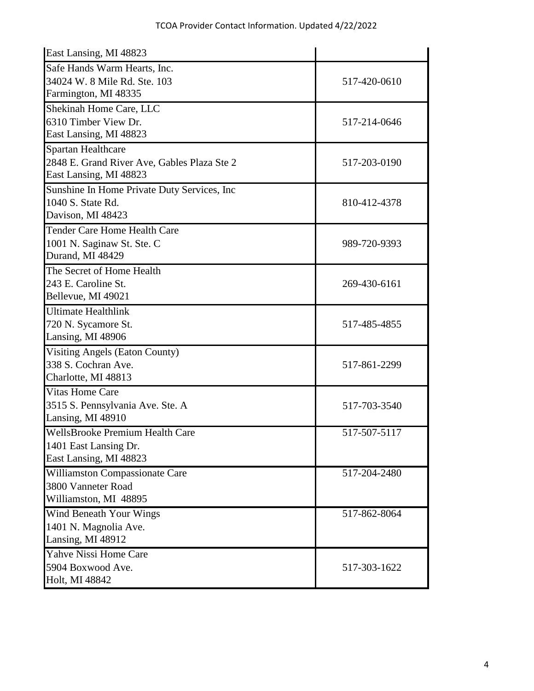| East Lansing, MI 48823                       |              |
|----------------------------------------------|--------------|
| Safe Hands Warm Hearts, Inc.                 |              |
| 34024 W. 8 Mile Rd. Ste. 103                 | 517-420-0610 |
| Farmington, MI 48335                         |              |
| Shekinah Home Care, LLC                      |              |
| 6310 Timber View Dr.                         | 517-214-0646 |
| East Lansing, MI 48823                       |              |
| Spartan Healthcare                           |              |
| 2848 E. Grand River Ave, Gables Plaza Ste 2  | 517-203-0190 |
| East Lansing, MI 48823                       |              |
| Sunshine In Home Private Duty Services, Inc. |              |
| 1040 S. State Rd.                            | 810-412-4378 |
| Davison, MI 48423                            |              |
| <b>Tender Care Home Health Care</b>          |              |
| 1001 N. Saginaw St. Ste. C                   | 989-720-9393 |
| Durand, MI 48429                             |              |
| The Secret of Home Health                    |              |
| 243 E. Caroline St.                          | 269-430-6161 |
| Bellevue, MI 49021                           |              |
| <b>Ultimate Healthlink</b>                   |              |
| 720 N. Sycamore St.                          | 517-485-4855 |
| Lansing, MI 48906                            |              |
| <b>Visiting Angels (Eaton County)</b>        |              |
| 338 S. Cochran Ave.                          | 517-861-2299 |
| Charlotte, MI 48813                          |              |
| <b>Vitas Home Care</b>                       |              |
| 3515 S. Pennsylvania Ave. Ste. A             | 517-703-3540 |
| Lansing, MI 48910                            |              |
| <b>WellsBrooke Premium Health Care</b>       | 517-507-5117 |
| 1401 East Lansing Dr.                        |              |
| East Lansing, MI 48823                       |              |
| Williamston Compassionate Care               | 517-204-2480 |
| 3800 Vanneter Road                           |              |
| Williamston, MI 48895                        |              |
| Wind Beneath Your Wings                      | 517-862-8064 |
| 1401 N. Magnolia Ave.                        |              |
| Lansing, MI 48912                            |              |
| Yahve Nissi Home Care                        |              |
| 5904 Boxwood Ave.                            | 517-303-1622 |
| Holt, MI 48842                               |              |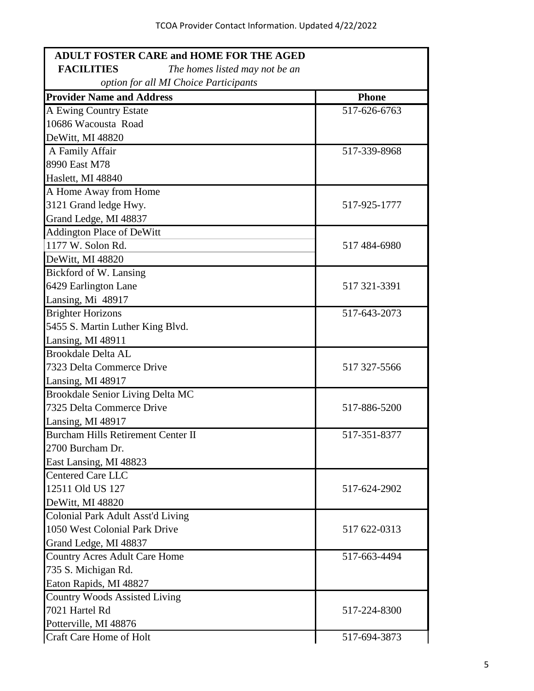| <b>ADULT FOSTER CARE and HOME FOR THE AGED</b>      |              |
|-----------------------------------------------------|--------------|
| <b>FACILITIES</b><br>The homes listed may not be an |              |
| option for all MI Choice Participants               |              |
| <b>Provider Name and Address</b>                    | <b>Phone</b> |
| A Ewing Country Estate                              | 517-626-6763 |
| 10686 Wacousta Road                                 |              |
| DeWitt, MI 48820                                    |              |
| A Family Affair                                     | 517-339-8968 |
| 8990 East M78                                       |              |
| Haslett, MI 48840                                   |              |
| A Home Away from Home                               |              |
| 3121 Grand ledge Hwy.                               | 517-925-1777 |
| Grand Ledge, MI 48837                               |              |
| <b>Addington Place of DeWitt</b>                    |              |
| 1177 W. Solon Rd.                                   | 517 484-6980 |
| DeWitt, MI 48820                                    |              |
| Bickford of W. Lansing                              |              |
| 6429 Earlington Lane                                | 517 321-3391 |
| Lansing, Mi 48917                                   |              |
| <b>Brighter Horizons</b>                            | 517-643-2073 |
| 5455 S. Martin Luther King Blvd.                    |              |
| Lansing, MI 48911                                   |              |
| <b>Brookdale Delta AL</b>                           |              |
| 7323 Delta Commerce Drive                           | 517 327-5566 |
| Lansing, MI 48917                                   |              |
| Brookdale Senior Living Delta MC                    |              |
| 7325 Delta Commerce Drive                           | 517-886-5200 |
| Lansing, MI 48917                                   |              |
| <b>Burcham Hills Retirement Center II</b>           | 517-351-8377 |
| 2700 Burcham Dr.                                    |              |
| East Lansing, MI 48823                              |              |
| <b>Centered Care LLC</b>                            |              |
| 12511 Old US 127                                    | 517-624-2902 |
| DeWitt, MI 48820                                    |              |
| Colonial Park Adult Asst'd Living                   |              |
| 1050 West Colonial Park Drive                       | 517 622-0313 |
| Grand Ledge, MI 48837                               |              |
| <b>Country Acres Adult Care Home</b>                | 517-663-4494 |
| 735 S. Michigan Rd.                                 |              |
| Eaton Rapids, MI 48827                              |              |
| Country Woods Assisted Living                       |              |
| 7021 Hartel Rd                                      | 517-224-8300 |
| Potterville, MI 48876                               |              |
| Craft Care Home of Holt                             | 517-694-3873 |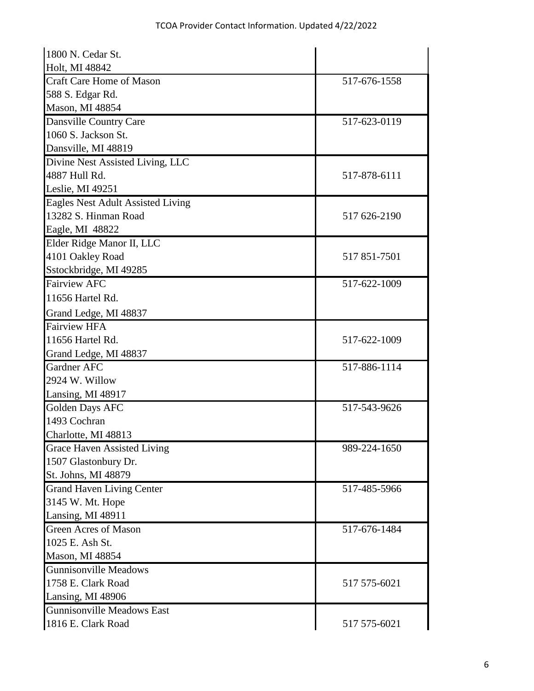| 1800 N. Cedar St.                  |              |
|------------------------------------|--------------|
| Holt, MI 48842                     |              |
| <b>Craft Care Home of Mason</b>    | 517-676-1558 |
| 588 S. Edgar Rd.                   |              |
| Mason, MI 48854                    |              |
| Dansville Country Care             | 517-623-0119 |
| 1060 S. Jackson St.                |              |
| Dansville, MI 48819                |              |
| Divine Nest Assisted Living, LLC   |              |
| 4887 Hull Rd.                      | 517-878-6111 |
| Leslie, MI 49251                   |              |
| Eagles Nest Adult Assisted Living  |              |
| 13282 S. Hinman Road               | 517 626-2190 |
| Eagle, MI 48822                    |              |
| Elder Ridge Manor II, LLC          |              |
| 4101 Oakley Road                   | 517 851-7501 |
| Sstockbridge, MI 49285             |              |
| <b>Fairview AFC</b>                | 517-622-1009 |
| 11656 Hartel Rd.                   |              |
| Grand Ledge, MI 48837              |              |
| <b>Fairview HFA</b>                |              |
| 11656 Hartel Rd.                   | 517-622-1009 |
| Grand Ledge, MI 48837              |              |
| <b>Gardner AFC</b>                 | 517-886-1114 |
| 2924 W. Willow                     |              |
| Lansing, MI 48917                  |              |
| <b>Golden Days AFC</b>             | 517-543-9626 |
| 1493 Cochran                       |              |
| Charlotte, MI 48813                |              |
| <b>Grace Haven Assisted Living</b> | 989-224-1650 |
| 1507 Glastonbury Dr.               |              |
| St. Johns, MI 48879                |              |
| <b>Grand Haven Living Center</b>   | 517-485-5966 |
| 3145 W. Mt. Hope                   |              |
| Lansing, MI 48911                  |              |
| <b>Green Acres of Mason</b>        | 517-676-1484 |
| 1025 E. Ash St.                    |              |
| Mason, MI 48854                    |              |
| <b>Gunnisonville Meadows</b>       |              |
| 1758 E. Clark Road                 | 517 575-6021 |
| Lansing, MI 48906                  |              |
| <b>Gunnisonville Meadows East</b>  |              |
| 1816 E. Clark Road                 | 517 575-6021 |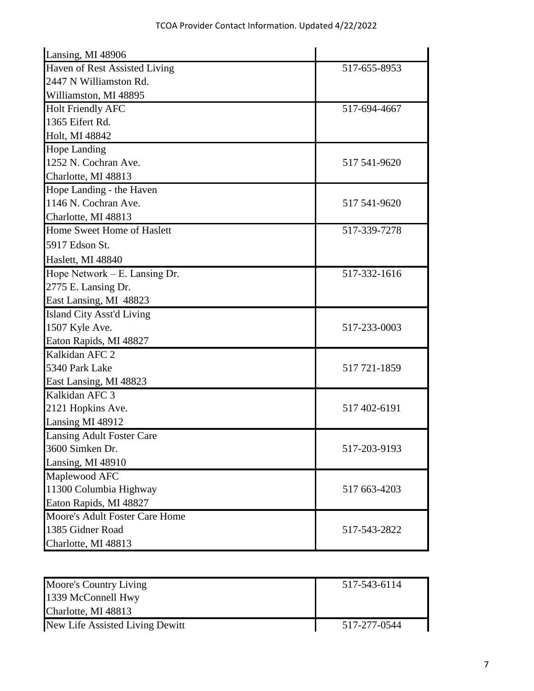| Lansing, MI 48906                |              |
|----------------------------------|--------------|
| Haven of Rest Assisted Living    | 517-655-8953 |
| 2447 N Williamston Rd.           |              |
| Williamston, MI 48895            |              |
| <b>Holt Friendly AFC</b>         | 517-694-4667 |
| 1365 Eifert Rd.                  |              |
| Holt, MI 48842                   |              |
| <b>Hope Landing</b>              |              |
| 1252 N. Cochran Ave.             | 517 541-9620 |
| Charlotte, MI 48813              |              |
| Hope Landing - the Haven         |              |
| 1146 N. Cochran Ave.             | 517 541-9620 |
| Charlotte, MI 48813              |              |
| Home Sweet Home of Haslett       | 517-339-7278 |
| 5917 Edson St.                   |              |
| Haslett, MI 48840                |              |
| Hope Network – E. Lansing Dr.    | 517-332-1616 |
| 2775 E. Lansing Dr.              |              |
| East Lansing, MI 48823           |              |
| <b>Island City Asst'd Living</b> |              |
| 1507 Kyle Ave.                   | 517-233-0003 |
| Eaton Rapids, MI 48827           |              |
| Kalkidan AFC 2                   |              |
| 5340 Park Lake                   | 517 721-1859 |
| East Lansing, MI 48823           |              |
| Kalkidan AFC 3                   |              |
| 2121 Hopkins Ave.                | 517 402-6191 |
| Lansing MI 48912                 |              |
| <b>Lansing Adult Foster Care</b> |              |
| 3600 Simken Dr.                  | 517-203-9193 |
| Lansing, MI 48910                |              |
| Maplewood AFC                    |              |
| 11300 Columbia Highway           | 517 663-4203 |
| Eaton Rapids, MI 48827           |              |
| Moore's Adult Foster Care Home   |              |
| 1385 Gidner Road                 | 517-543-2822 |
| Charlotte, MI 48813              |              |

| Moore's Country Living          | 517-543-6114 |
|---------------------------------|--------------|
| 1339 McConnell Hwy              |              |
| Charlotte, MI 48813             |              |
| New Life Assisted Living Dewitt | 517-277-0544 |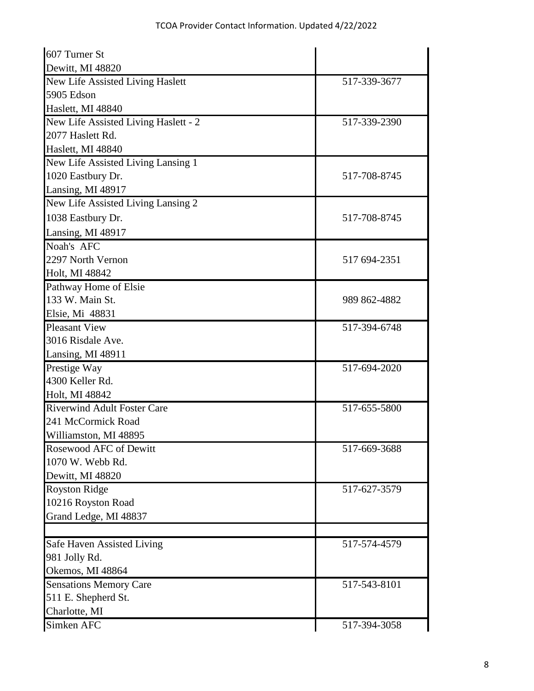| 607 Turner St                        |              |
|--------------------------------------|--------------|
| Dewitt, MI 48820                     |              |
| New Life Assisted Living Haslett     | 517-339-3677 |
| 5905 Edson                           |              |
| Haslett, MI 48840                    |              |
| New Life Assisted Living Haslett - 2 | 517-339-2390 |
| 2077 Haslett Rd.                     |              |
| Haslett, MI 48840                    |              |
| New Life Assisted Living Lansing 1   |              |
| 1020 Eastbury Dr.                    | 517-708-8745 |
| Lansing, MI 48917                    |              |
| New Life Assisted Living Lansing 2   |              |
| 1038 Eastbury Dr.                    | 517-708-8745 |
| Lansing, MI 48917                    |              |
| Noah's AFC                           |              |
| 2297 North Vernon                    | 517 694-2351 |
| Holt, MI 48842                       |              |
| Pathway Home of Elsie                |              |
| 133 W. Main St.                      | 989 862-4882 |
| Elsie, Mi 48831                      |              |
| <b>Pleasant View</b>                 | 517-394-6748 |
| 3016 Risdale Ave.                    |              |
| Lansing, MI 48911                    |              |
| Prestige Way                         | 517-694-2020 |
| 4300 Keller Rd.                      |              |
| Holt, MI 48842                       |              |
| <b>Riverwind Adult Foster Care</b>   | 517-655-5800 |
| 241 McCormick Road                   |              |
| Williamston, MI 48895                |              |
| Rosewood AFC of Dewitt               | 517-669-3688 |
| 1070 W. Webb Rd.                     |              |
| Dewitt, MI 48820                     |              |
| <b>Royston Ridge</b>                 | 517-627-3579 |
| 10216 Royston Road                   |              |
| Grand Ledge, MI 48837                |              |
|                                      |              |
| Safe Haven Assisted Living           | 517-574-4579 |
| 981 Jolly Rd.                        |              |
| Okemos, MI 48864                     |              |
| <b>Sensations Memory Care</b>        | 517-543-8101 |
| 511 E. Shepherd St.                  |              |
| Charlotte, MI                        |              |
| Simken AFC                           | 517-394-3058 |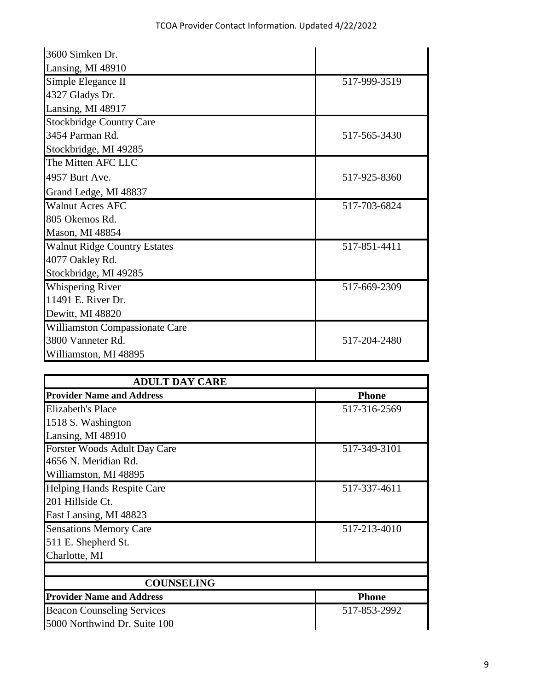| 3600 Simken Dr.                     |              |
|-------------------------------------|--------------|
| Lansing, MI 48910                   |              |
| Simple Elegance II                  | 517-999-3519 |
| 4327 Gladys Dr.                     |              |
| Lansing, MI 48917                   |              |
| <b>Stockbridge Country Care</b>     |              |
| 3454 Parman Rd.                     | 517-565-3430 |
| Stockbridge, MI 49285               |              |
| The Mitten AFC LLC                  |              |
| 4957 Burt Ave.                      | 517-925-8360 |
| Grand Ledge, MI 48837               |              |
| <b>Walnut Acres AFC</b>             | 517-703-6824 |
| 805 Okemos Rd.                      |              |
| Mason, MI 48854                     |              |
| <b>Walnut Ridge Country Estates</b> | 517-851-4411 |
| 4077 Oakley Rd.                     |              |
| Stockbridge, MI 49285               |              |
| <b>Whispering River</b>             | 517-669-2309 |
| 11491 E. River Dr.                  |              |
| Dewitt, MI 48820                    |              |
| Williamston Compassionate Care      |              |
| 3800 Vanneter Rd.                   | 517-204-2480 |
| Williamston, MI 48895               |              |

| <b>ADULT DAY CARE</b>             |              |
|-----------------------------------|--------------|
| <b>Provider Name and Address</b>  | <b>Phone</b> |
| Elizabeth's Place                 | 517-316-2569 |
| 1518 S. Washington                |              |
| Lansing, MI 48910                 |              |
| Forster Woods Adult Day Care      | 517-349-3101 |
| 4656 N. Meridian Rd.              |              |
| Williamston, MI 48895             |              |
| <b>Helping Hands Respite Care</b> | 517-337-4611 |
| 201 Hillside Ct.                  |              |
| East Lansing, MI 48823            |              |
| <b>Sensations Memory Care</b>     | 517-213-4010 |
| 511 E. Shepherd St.               |              |
| Charlotte, MI                     |              |
| <b>COUNSELING</b>                 |              |
| <b>Provider Name and Address</b>  | <b>Phone</b> |
| <b>Beacon Counseling Services</b> | 517-853-2992 |
| 5000 Northwind Dr. Suite 100      |              |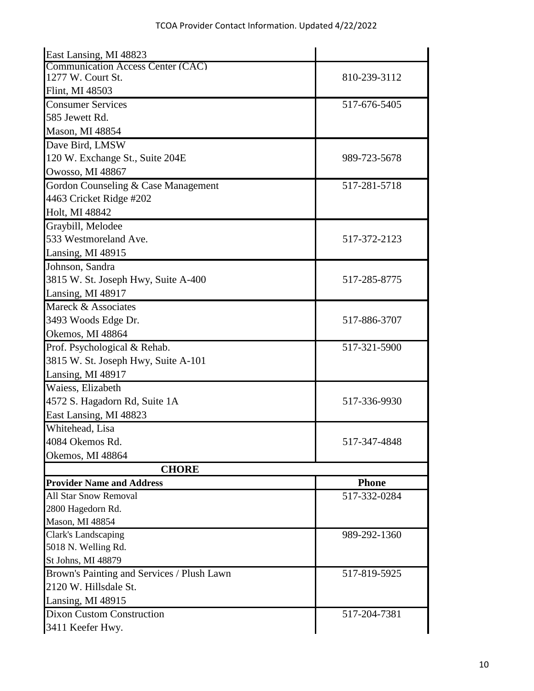| East Lansing, MI 48823                     |              |
|--------------------------------------------|--------------|
| <b>Communication Access Center (CAC)</b>   |              |
| 1277 W. Court St.                          | 810-239-3112 |
| Flint, MI 48503                            |              |
| <b>Consumer Services</b>                   | 517-676-5405 |
| 585 Jewett Rd.                             |              |
| Mason, MI 48854                            |              |
| Dave Bird, LMSW                            |              |
| 120 W. Exchange St., Suite 204E            | 989-723-5678 |
| Owosso, MI 48867                           |              |
| Gordon Counseling & Case Management        | 517-281-5718 |
| 4463 Cricket Ridge #202                    |              |
| Holt, MI 48842                             |              |
| Graybill, Melodee                          |              |
| 533 Westmoreland Ave.                      | 517-372-2123 |
| Lansing, MI 48915                          |              |
| Johnson, Sandra                            |              |
| 3815 W. St. Joseph Hwy, Suite A-400        | 517-285-8775 |
| Lansing, MI 48917                          |              |
| Mareck & Associates                        |              |
| 3493 Woods Edge Dr.                        | 517-886-3707 |
| Okemos, MI 48864                           |              |
| Prof. Psychological & Rehab.               | 517-321-5900 |
| 3815 W. St. Joseph Hwy, Suite A-101        |              |
| Lansing, MI 48917                          |              |
| Waiess, Elizabeth                          |              |
| 4572 S. Hagadorn Rd, Suite 1A              | 517-336-9930 |
| East Lansing, MI 48823                     |              |
| Whitehead, Lisa                            |              |
| 4084 Okemos Rd.                            | 517-347-4848 |
| Okemos, MI 48864                           |              |
| <b>CHORE</b>                               |              |
| <b>Provider Name and Address</b>           | <b>Phone</b> |
| <b>All Star Snow Removal</b>               | 517-332-0284 |
| 2800 Hagedorn Rd.                          |              |
| Mason, MI 48854                            |              |
| Clark's Landscaping                        | 989-292-1360 |
| 5018 N. Welling Rd.                        |              |
| St Johns, MI 48879                         |              |
| Brown's Painting and Services / Plush Lawn | 517-819-5925 |
| 2120 W. Hillsdale St.                      |              |
| Lansing, MI 48915                          |              |
| <b>Dixon Custom Construction</b>           | 517-204-7381 |
| 3411 Keefer Hwy.                           |              |
|                                            |              |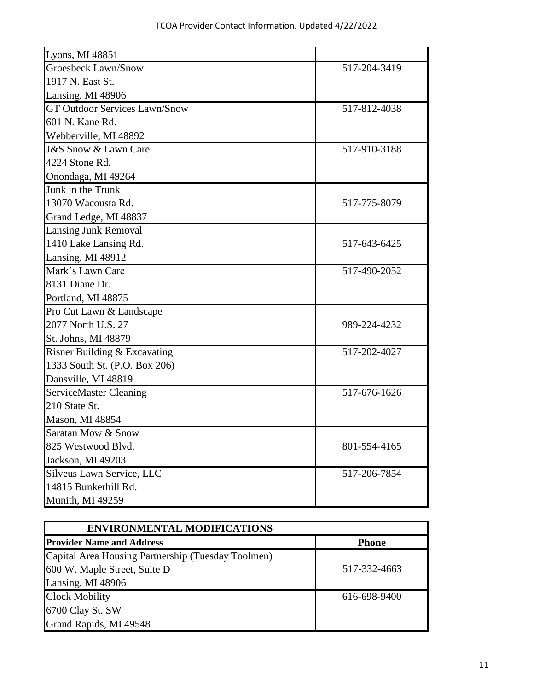| Lyons, MI 48851                      |              |
|--------------------------------------|--------------|
| <b>Groesbeck Lawn/Snow</b>           | 517-204-3419 |
| 1917 N. East St.                     |              |
| Lansing, MI 48906                    |              |
| <b>GT Outdoor Services Lawn/Snow</b> | 517-812-4038 |
| 601 N. Kane Rd.                      |              |
| Webberville, MI 48892                |              |
| <b>J&amp;S Snow &amp; Lawn Care</b>  | 517-910-3188 |
| 4224 Stone Rd.                       |              |
| Onondaga, MI 49264                   |              |
| Junk in the Trunk                    |              |
| 13070 Wacousta Rd.                   | 517-775-8079 |
| Grand Ledge, MI 48837                |              |
| <b>Lansing Junk Removal</b>          |              |
| 1410 Lake Lansing Rd.                | 517-643-6425 |
| Lansing, MI 48912                    |              |
| Mark's Lawn Care                     | 517-490-2052 |
| 8131 Diane Dr.                       |              |
| Portland, MI 48875                   |              |
| Pro Cut Lawn & Landscape             |              |
| 2077 North U.S. 27                   | 989-224-4232 |
| St. Johns, MI 48879                  |              |
| Risner Building & Excavating         | 517-202-4027 |
| 1333 South St. (P.O. Box 206)        |              |
| Dansville, MI 48819                  |              |
| <b>ServiceMaster Cleaning</b>        | 517-676-1626 |
| 210 State St.                        |              |
| Mason, MI 48854                      |              |
| Saratan Mow & Snow                   |              |
| 825 Westwood Blvd.                   | 801-554-4165 |
| Jackson, MI 49203                    |              |
| Silveus Lawn Service, LLC            | 517-206-7854 |
| 14815 Bunkerhill Rd.                 |              |
| Munith, MI 49259                     |              |

| <b>ENVIRONMENTAL MODIFICATIONS</b>                 |              |  |
|----------------------------------------------------|--------------|--|
| <b>Provider Name and Address</b>                   | <b>Phone</b> |  |
| Capital Area Housing Partnership (Tuesday Toolmen) |              |  |
| 600 W. Maple Street, Suite D                       | 517-332-4663 |  |
| Lansing, MI 48906                                  |              |  |
| <b>Clock Mobility</b>                              | 616-698-9400 |  |
| 6700 Clay St. SW                                   |              |  |
| Grand Rapids, MI 49548                             |              |  |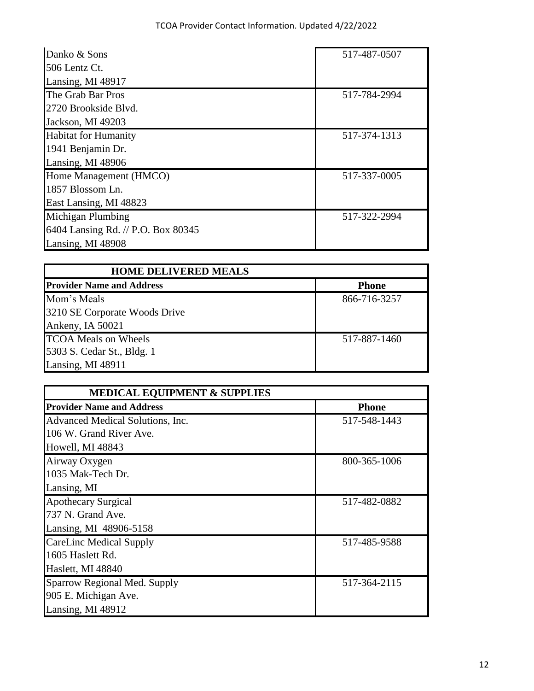| Danko & Sons                       | 517-487-0507 |
|------------------------------------|--------------|
| 506 Lentz Ct.                      |              |
| Lansing, MI 48917                  |              |
| The Grab Bar Pros                  | 517-784-2994 |
| 2720 Brookside Blvd.               |              |
| Jackson, MI 49203                  |              |
| <b>Habitat for Humanity</b>        | 517-374-1313 |
| 1941 Benjamin Dr.                  |              |
| Lansing, MI 48906                  |              |
| Home Management (HMCO)             | 517-337-0005 |
| 1857 Blossom Ln.                   |              |
| East Lansing, MI 48823             |              |
| Michigan Plumbing                  | 517-322-2994 |
| 6404 Lansing Rd. // P.O. Box 80345 |              |
| Lansing, MI 48908                  |              |

| <b>HOME DELIVERED MEALS</b>      |              |
|----------------------------------|--------------|
| <b>Provider Name and Address</b> | <b>Phone</b> |
| Mom's Meals                      | 866-716-3257 |
| 3210 SE Corporate Woods Drive    |              |
| Ankeny, IA 50021                 |              |
| <b>TCOA</b> Meals on Wheels      | 517-887-1460 |
| 5303 S. Cedar St., Bldg. 1       |              |
| Lansing, MI 48911                |              |

| <b>MEDICAL EQUIPMENT &amp; SUPPLIES</b> |              |  |
|-----------------------------------------|--------------|--|
| <b>Provider Name and Address</b>        | <b>Phone</b> |  |
| Advanced Medical Solutions, Inc.        | 517-548-1443 |  |
| 106 W. Grand River Ave.                 |              |  |
| Howell, MI 48843                        |              |  |
| Airway Oxygen                           | 800-365-1006 |  |
| 1035 Mak-Tech Dr.                       |              |  |
| Lansing, MI                             |              |  |
| <b>Apothecary Surgical</b>              | 517-482-0882 |  |
| 737 N. Grand Ave.                       |              |  |
| Lansing, MI 48906-5158                  |              |  |
| CareLinc Medical Supply                 | 517-485-9588 |  |
| 1605 Haslett Rd.                        |              |  |
| Haslett, MI 48840                       |              |  |
| Sparrow Regional Med. Supply            | 517-364-2115 |  |
| 905 E. Michigan Ave.                    |              |  |
| Lansing, MI 48912                       |              |  |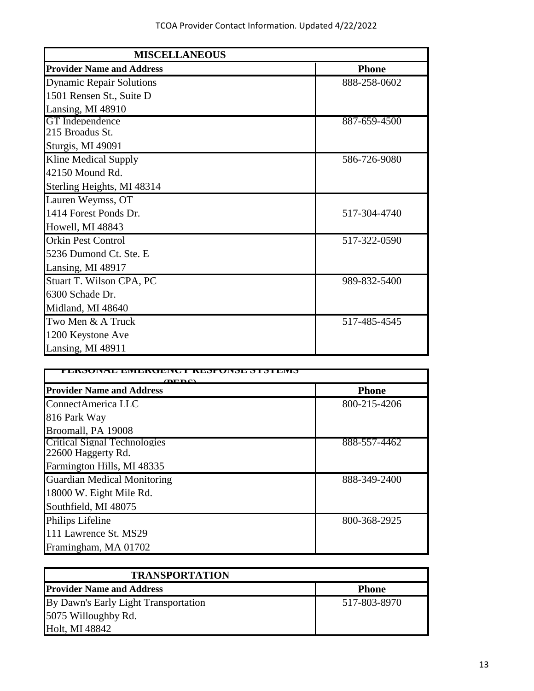| <b>MISCELLANEOUS</b>             |              |
|----------------------------------|--------------|
| <b>Provider Name and Address</b> | <b>Phone</b> |
| <b>Dynamic Repair Solutions</b>  | 888-258-0602 |
| 1501 Rensen St., Suite D         |              |
| Lansing, MI 48910                |              |
| GT Independence                  | 887-659-4500 |
| 215 Broadus St.                  |              |
| Sturgis, MI 49091                |              |
| Kline Medical Supply             | 586-726-9080 |
| 42150 Mound Rd.                  |              |
| Sterling Heights, MI 48314       |              |
| Lauren Weymss, OT                |              |
| 1414 Forest Ponds Dr.            | 517-304-4740 |
| Howell, MI 48843                 |              |
| <b>Orkin Pest Control</b>        | 517-322-0590 |
| 5236 Dumond Ct. Ste. E           |              |
| Lansing, MI 48917                |              |
| Stuart T. Wilson CPA, PC         | 989-832-5400 |
| 6300 Schade Dr.                  |              |
| Midland, MI 48640                |              |
| Two Men & A Truck                | 517-485-4545 |
| 1200 Keystone Ave                |              |
| Lansing, MI 48911                |              |

| ишинн<br>$\mathbf{m}\mathbf{m}$    |              |
|------------------------------------|--------------|
| <b>Provider Name and Address</b>   | <b>Phone</b> |
| ConnectAmerica LLC                 | 800-215-4206 |
| 816 Park Way                       |              |
| Broomall, PA 19008                 |              |
| Critical Signal Technologies       | 888-557-4462 |
| 22600 Haggerty Rd.                 |              |
| Farmington Hills, MI 48335         |              |
| <b>Guardian Medical Monitoring</b> | 888-349-2400 |
| 18000 W. Eight Mile Rd.            |              |
| Southfield, MI 48075               |              |
| <b>Philips Lifeline</b>            | 800-368-2925 |
| 111 Lawrence St. MS29              |              |
| Framingham, MA 01702               |              |

| <b>TRANSPORTATION</b>                |              |
|--------------------------------------|--------------|
| <b>Provider Name and Address</b>     | <b>Phone</b> |
| By Dawn's Early Light Transportation | 517-803-8970 |
| 5075 Willoughby Rd.                  |              |
| Holt, MI 48842                       |              |